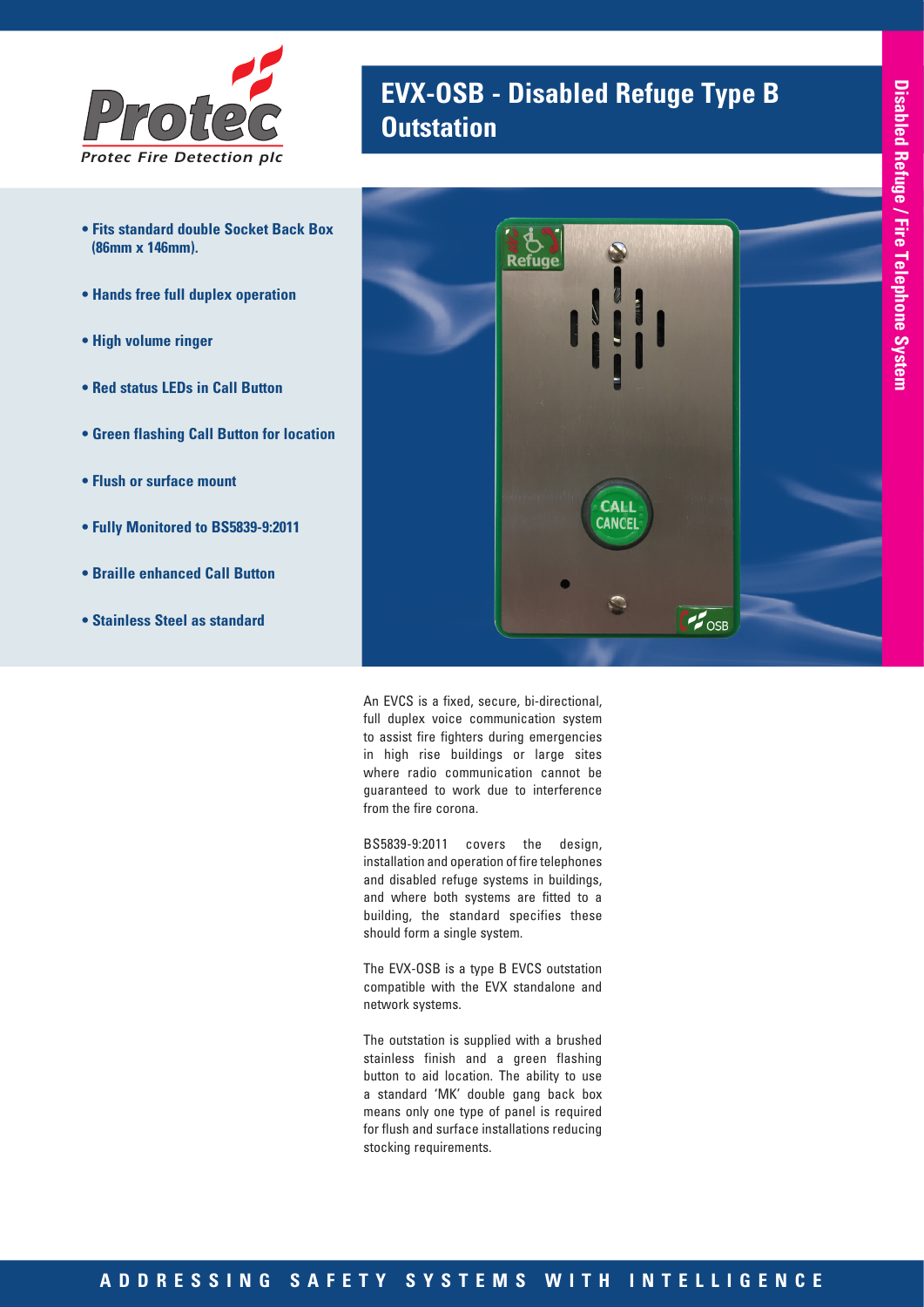

- **Fits standard double Socket Back Box (86mm x 146mm).**
- **Hands free full duplex operation**
- **High volume ringer**
- **Red status LEDs in Call Button**
- **Green flashing Call Button for location**
- **Flush or surface mount**
- **Fully Monitored to BS5839-9:2011**
- **Braille enhanced Call Button**
- **Stainless Steel as standard**

# **EVX-OSB - Disabled Refuge Type B Outstation**



An EVCS is a fixed, secure, bi-directional, full duplex voice communication system to assist fire fighters during emergencies in high rise buildings or large sites where radio communication cannot be guaranteed to work due to interference from the fire corona.

BS5839-9:2011 covers the design, installation and operation of fire telephones and disabled refuge systems in buildings, and where both systems are fitted to a building, the standard specifies these should form a single system.

The EVX-OSB is a type B EVCS outstation compatible with the EVX standalone and network systems.

The outstation is supplied with a brushed stainless finish and a green flashing button to aid location. The ability to use a standard 'MK' double gang back box means only one type of panel is required for flush and surface installations reducing stocking requirements.